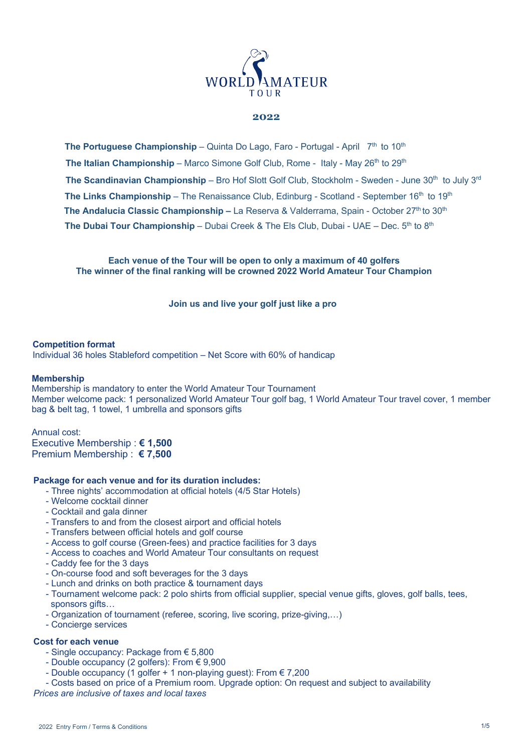

### **2022**

**The Portuguese Championship** – Quinta Do Lago, Faro - Portugal - April 7<sup>th</sup> to 10<sup>th</sup> **The Italian Championship** – Marco Simone Golf Club, Rome - Italy - May 26<sup>th</sup> to 29<sup>th</sup> **The Scandinavian Championship** – Bro Hof Slott Golf Club, Stockholm - Sweden - June 30<sup>th</sup> to July 3<sup>rd</sup> **The Links Championship** – The Renaissance Club, Edinburg - Scotland - September 16<sup>th</sup> to 19<sup>th</sup> **The Andalucia Classic Championship –** La Reserva & Valderrama, Spain - October 27th to 30th **The Dubai Tour Championship** – Dubai Creek & The Els Club, Dubai - UAE – Dec. 5<sup>th</sup> to 8<sup>th</sup>

**Each venue of the Tour will be open to only a maximum of 40 golfers The winner of the final ranking will be crowned 2022 World Amateur Tour Champion**

**Join us and live your golf just like a pro**

#### **Competition format**

Individual 36 holes Stableford competition – Net Score with 60% of handicap

#### **Membership**

Membership is mandatory to enter the World Amateur Tour Tournament Member welcome pack: 1 personalized World Amateur Tour golf bag, 1 World Amateur Tour travel cover, 1 member bag & belt tag, 1 towel, 1 umbrella and sponsors gifts

Annual cost: Executive Membership : **€ 1,500** Premium Membership : **€ 7,500**

#### **Package for each venue and for its duration includes:**

- Three nights' accommodation at official hotels (4/5 Star Hotels)
- Welcome cocktail dinner
- Cocktail and gala dinner
- Transfers to and from the closest airport and official hotels
- Transfers between official hotels and golf course
- Access to golf course (Green-fees) and practice facilities for 3 days
- Access to coaches and World Amateur Tour consultants on request
- Caddy fee for the 3 days
- On-course food and soft beverages for the 3 days
- Lunch and drinks on both practice & tournament days
- Tournament welcome pack: 2 polo shirts from official supplier, special venue gifts, gloves, golf balls, tees, sponsors gifts...
- Organization of tournament (referee, scoring, live scoring, prize-giving,…)
- Concierge services

### **Cost for each venue**

- Single occupancy: Package from € 5,800
- Double occupancy (2 golfers): From  $\epsilon$  9,900
- Double occupancy (1 golfer + 1 non-playing guest): From € 7,200
- Costs based on price of a Premium room. Upgrade option: On request and subject to availability

*Prices are inclusive of taxes and local taxes*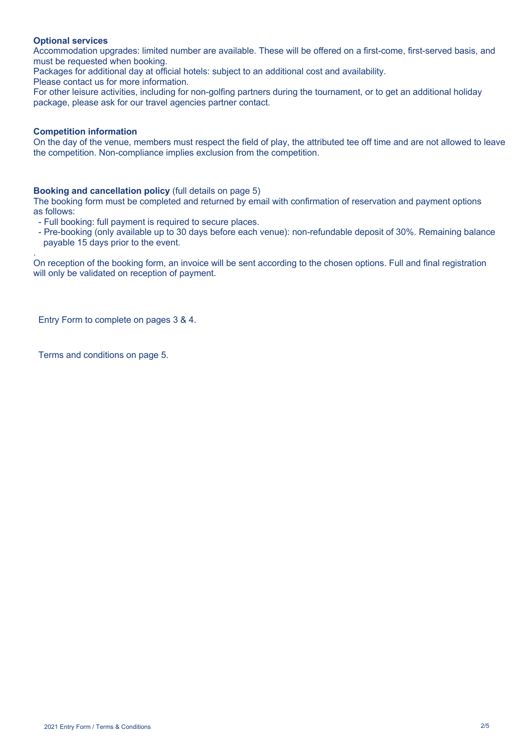## **Optional services**

Accommodation upgrades: limited number are available. These will be offered on a first-come, first-served basis, and must be requested when booking.

Packages for additional day at official hotels: subject to an additional cost and availability.

Please contact us for more information.

For other leisure activities, including for non-golfing partners during the tournament, or to get an additional holiday package, please ask for our travel agencies partner contact.

### **Competition information**

.

On the day of the venue, members must respect the field of play, the attributed tee off time and are not allowed to leave the competition. Non-compliance implies exclusion from the competition.

### **Booking and cancellation policy** (full details on page 5)

The booking form must be completed and returned by email with confirmation of reservation and payment options as follows:

- Full booking: full payment is required to secure places.

- Pre-booking (only available up to 30 days before each venue): non-refundable deposit of 30%. Remaining balance payable 15 days prior to the event.

On reception of the booking form, an invoice will be sent according to the chosen options. Full and final registration will only be validated on reception of payment.

Entry Form to complete on pages 3 & 4.

Terms and conditions on page 5.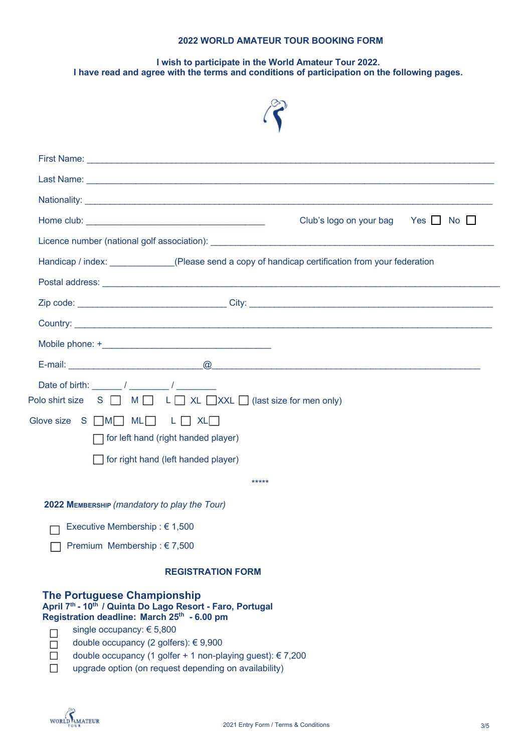# **2022 WORLD AMATEUR TOUR BOOKING FORM**

# **I wish to participate in the World Amateur Tour 2022. I have read and agree with the terms and conditions of participation on the following pages.**



|                                                                                                                                                                                                                                                         | Last Name: <u>December 2008</u> September 2008 September 2009 September 2009 September 2009 September 2009 September 2009 September 2009 September 2009 September 2009 September 2009 September 2009 September 2009 September 2009  |
|---------------------------------------------------------------------------------------------------------------------------------------------------------------------------------------------------------------------------------------------------------|-------------------------------------------------------------------------------------------------------------------------------------------------------------------------------------------------------------------------------------|
|                                                                                                                                                                                                                                                         |                                                                                                                                                                                                                                     |
|                                                                                                                                                                                                                                                         | Club's logo on your bag Yes $\Box$ No $\Box$                                                                                                                                                                                        |
|                                                                                                                                                                                                                                                         |                                                                                                                                                                                                                                     |
|                                                                                                                                                                                                                                                         | Handicap / index: (Please send a copy of handicap certification from your federation                                                                                                                                                |
|                                                                                                                                                                                                                                                         |                                                                                                                                                                                                                                     |
|                                                                                                                                                                                                                                                         |                                                                                                                                                                                                                                     |
|                                                                                                                                                                                                                                                         | <b>Country:</b> 2008. 2008. 2010. 2010. 2010. 2010. 2010. 2010. 2010. 2010. 2010. 2010. 2010. 2010. 2010. 2010. 2010. 2010. 2010. 2010. 2010. 2010. 2010. 2010. 2010. 2010. 2010. 2010. 2010. 2010. 2010. 2010. 2010. 2010. 2010. 2 |
|                                                                                                                                                                                                                                                         |                                                                                                                                                                                                                                     |
|                                                                                                                                                                                                                                                         |                                                                                                                                                                                                                                     |
| Glove size S M ML ML L XL<br>$\Box$ for left hand (right handed player)<br>for right hand (left handed player)                                                                                                                                          | *****                                                                                                                                                                                                                               |
|                                                                                                                                                                                                                                                         |                                                                                                                                                                                                                                     |
| 2022 MEMBERSHIP (mandatory to play the Tour)                                                                                                                                                                                                            |                                                                                                                                                                                                                                     |
| Executive Membership : € 1,500                                                                                                                                                                                                                          |                                                                                                                                                                                                                                     |
| Premium Membership: $\epsilon$ 7,500                                                                                                                                                                                                                    |                                                                                                                                                                                                                                     |
|                                                                                                                                                                                                                                                         | <b>REGISTRATION FORM</b>                                                                                                                                                                                                            |
| <b>The Portuguese Championship</b><br>April 7th - 10th / Quinta Do Lago Resort - Faro, Portugal<br>Registration deadline: March 25th - 6.00 pm<br>single occupancy: € 5,800<br>П<br>double occupancy (2 golfers): € 9,900<br>$\Box$<br>$\Box$<br>$\Box$ | double occupancy (1 golfer + 1 non-playing guest): € 7,200<br>upgrade option (on request depending on availability)                                                                                                                 |

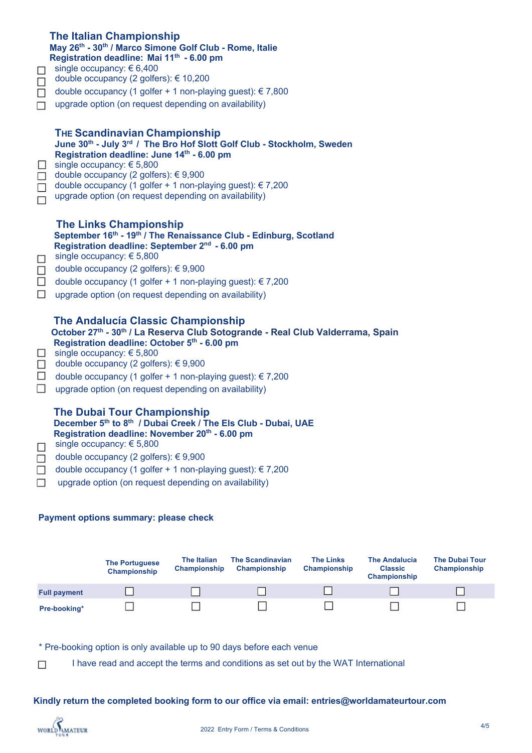| $\Box$<br>$\Box$<br>$\Box$<br>$\Box$            | <b>The Italian Championship</b><br>May 26th - 30th / Marco Simone Golf Club - Rome, Italie<br>Registration deadline: Mai 11th - 6.00 pm<br>single occupancy: $\epsilon$ 6,400<br>double occupancy (2 golfers): € 10,200<br>double occupancy (1 golfer + 1 non-playing guest): € 7,800<br>upgrade option (on request depending on availability)                                                  |  |
|-------------------------------------------------|-------------------------------------------------------------------------------------------------------------------------------------------------------------------------------------------------------------------------------------------------------------------------------------------------------------------------------------------------------------------------------------------------|--|
| $\Box$<br>$\Box$<br>$\Box$<br>$\Box$            | <b>THE Scandinavian Championship</b><br>June 30th - July 3rd / The Bro Hof Slott Golf Club - Stockholm, Sweden<br>Registration deadline: June 14th - 6.00 pm<br>single occupancy: € 5,800<br>double occupancy (2 golfers): €9,900<br>double occupancy (1 golfer + 1 non-playing guest): € 7,200<br>upgrade option (on request depending on availability)                                        |  |
| $\Box$<br>$\Box$<br>$\Box$<br>$\Box$            | <b>The Links Championship</b><br>September 16th - 19th / The Renaissance Club - Edinburg, Scotland<br>Registration deadline: September 2 <sup>nd</sup> - 6.00 pm<br>single occupancy: € 5,800<br>double occupancy (2 golfers): €9,900<br>double occupancy (1 golfer + 1 non-playing guest): € 7,200<br>upgrade option (on request depending on availability)                                    |  |
| $\mathcal{L}_{\mathcal{A}}$<br>$\Box$<br>$\Box$ | <b>The Andalucía Classic Championship</b><br>October 27th - 30th / La Reserva Club Sotogrande - Real Club Valderrama, Spain<br>Registration deadline: October 5 <sup>th</sup> - 6.00 pm<br>single occupancy: € 5,800<br>double occupancy (2 golfers): € 9,900<br>$\Box$ double occupancy (1 golfer + 1 non-playing guest): $\in$ 7,200<br>upgrade option (on request depending on availability) |  |
| $\Box$<br>$\Box$<br>$\Box$                      | <b>The Dubai Tour Championship</b><br>December 5th to 8th / Dubai Creek / The Els Club - Dubai, UAE<br>Registration deadline: November 20 <sup>th</sup> - 6.00 pm<br>single occupancy: € 5,800<br>double occupancy (2 golfers): € 9,900<br>double occupancy (1 golfer + 1 non-playing guest): € 7,200<br>upgrade option (on request depending on availability)                                  |  |
| Payment options summary: please check           |                                                                                                                                                                                                                                                                                                                                                                                                 |  |



\* Pre-booking option is only available up to 90 days before each venue

I have read and accept the terms and conditions as set out by the WAT International  $\Box$ 

**Kindly return the completed booking form to our office via email: entries@worldamateurtour.com**